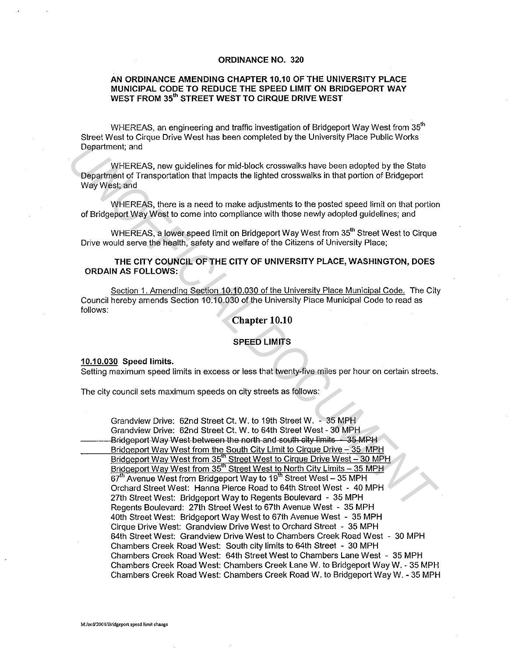## ORDINANCE NO. 320

# AN ORDINANCE AMENDING CHAPTER 10.10 OF THE UNIVERSITY PLACE MUNICIPAL CODE TO REDUCE THE SPEED LIMIT ON BRIDGEPORT WAY WEST FROM 35<sup>th</sup> STREET WEST TO CIRQUE DRIVE WEST

WHEREAS, an engineering and traffic investigation of Bridgeport Wav West from 35<sup>th</sup> Street West to Cirque Drive West has been completed by the University Place Public Works Department; and

WHEREAS, new guidelines for mid-block crosswalks have been adopted by the State Department of Transportation that impacts the lighted crosswalks in that portion of Bridgeport Way West; and

WHEREAS, there is a need to make adjustments to the posted speed limit on that portion of Bridgeport Way West to come into compliance with those newly adopted guidelines; and

WHEREAS, a lower speed limit on Bridgeport Way West from 35<sup>th</sup> Street West to Cirque Drive would serve the health, safety and welfare of the Citizens of University Place;

THE CITY COUNCIL OF THE CITY OF UNIVERSITY PLACE, WASHINGTON, DOES ORDAIN AS FOLLOWS:

Section 1. Amending Section 10.10.030 of the University Place Municipal Code. The City Council hereby amends Section 10.10.030 of the University Place Municipal Code to read as follows:

### Chapter 10.10

#### SPEED LIMITS

#### 10.10.030 Speed limits.

Setting maximum speed limits in excess or less that twenty-five miles per hour on certain streets.

The city council sets maximum speeds on city streets as follows:

Grandview Drive: 62nd Street Ct. W. to 19th Street W. - 35 MPH Grandview Drive: 62nd Street Ct. W. to 64th Street West - 30 MPH Bridgeport Way West between the north and south city limits - 35 MPH Bridgeport Way West from the South City Limit to Cirque Drive - 35 MPH Bridgeport Way West from 35<sup>th</sup> Street West to Cirque Drive West - 30 MPH Bridgeport Way West from 35<sup>th</sup> Street West to North City Limits - 35 MPH 67<sup>th</sup> Avenue West from Bridgeport Way to 19<sup>th</sup> Street West - 35 MPH Orchard Street West: Hanna Pierce Road to 64th Street West - 40 MPH 27th Street West: Bridgeport Way to Regents Boulevard - 35 MPH Regents Boulevard: 27th Street West to 67th Avenue West - 35 MPH 4oth Street West: Bridgeport Way West to 67th Avenue West - 35 MPH Cirque Drive West: Grandview Drive West to Orchard Street - 35 MPH 64th Street West: Grandview Drive West to Chambers Creek Road West - 30 MPH Chambers Creek Road West: South city limits to 64th Street - 30 MPH Chambers Creek Road West: 64th Street West to Chambers Lane West - 35 MPH Chambers Creek Road West: Chambers Creek Lane W. to Bridgeport Way W. - 35 MPH Chambers Creek Road West: Chambers Creek Road W. to Bridgeport WayW. -35 MPH **Department;** and<br>
WHEREAS, new guidelines for mid-block crosswalks have been edopted by the State<br>
Department of Transportation that impacts the lighted crosswalks in that portion of Bridgeport<br>
Way West; and<br>
WHEREAS, th